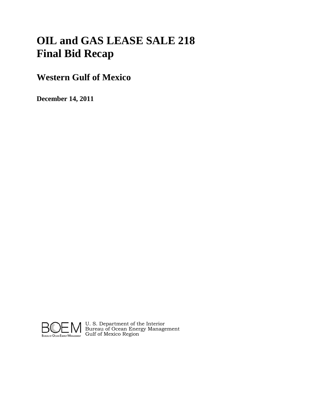# **OIL and GAS LEASE SALE 218 Final Bid Recap**

## **Western Gulf of Mexico**

**December 14, 2011**



U. S. Department of the Interior Bureau of Ocean Energy Management Gulf of Mexico Region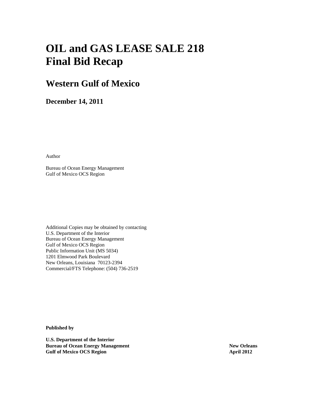# **OIL and GAS LEASE SALE 218 Final Bid Recap**

## **Western Gulf of Mexico**

**December 14, 2011** 

Author

Bureau of Ocean Energy Management Gulf of Mexico OCS Region

Additional Copies may be obtained by contacting U.S. Department of the Interior Bureau of Ocean Energy Management Gulf of Mexico OCS Region Public Information Unit (MS 5034) 1201 Elmwood Park Boulevard New Orleans, Louisiana 70123-2394 Commercial/FTS Telephone: (504) 736-2519

**Published by** 

**U.S. Department of the Interior Bureau of Ocean Energy Management New Orleans 1989 Gulf of Mexico OCS Region 2012 2012 2012 2013**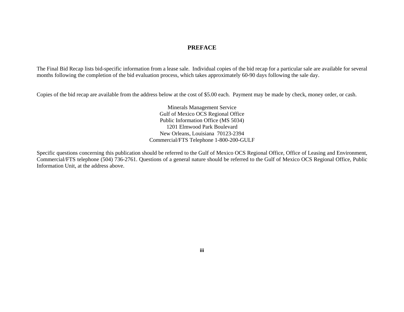## *PREFACE*

The Final Bid Recap lists bid-specific information from a lease sale. Individual copies of the bid recap for a particular sale are available for several months following the completion of the bid evaluation process, which takes approximately 60-90 days following the sale day.

Copies of the bid recap are available from the address below at the cost of \$5.00 each. Payment may be made by check, money order, or cash.

 Minerals Management Service Gulf of Mexico OCS Regional Office Public Information Office (MS 5034) 1201 Elmwood Park Boulevard New Orleans, Louisiana 70123-2394 Commercial/FTS Telephone 1-800-200-GULF

Specific questions concerning this publication should be referred to the Gulf of Mexico OCS Regional Office, Office of Leasing and Environment, Commercial/FTS telephone (504) 736-2761. Questions of a general nature should be referred to the Gulf of Mexico OCS Regional Office, Public Information Unit, at the address above.

 **iii**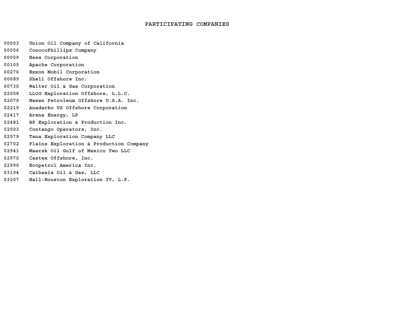#### **PARTICIPATING COMPANIES**

- **00003 Union Oil Company of California**
- **00056ConocoPhillips Company**
- **00059Hess Corporation**
- **00105Apache Corporation**
- **00276Exxon Mobil Corporation**
- **00689Shell Offshore Inc.**
- **00730Walter Oil & Gas Corporation**
- **02058LLOG Exploration Offshore, L.L.C.**
- **02079Nexen Petroleum Offshore U.S.A. Inc.**
- **02219Anadarko US Offshore Corporation**
- **02417Arena Energy, LP**
- **02481 BP Exploration & Production Inc.**
- **02503Contango Operators, Inc.**
- **02579Tana Exploration Company LLC**
- **02702Plains Exploration & Production Company**
- **02941Maersk Oil Gulf of Mexico Two LLC**
- **02970Castex Offshore, Inc.**
- **02990Ecopetrol America Inc.**
- **03194Cathexis Oil & Gas, LLC**
- **03207Hall-Houston Exploration IV, L.P.**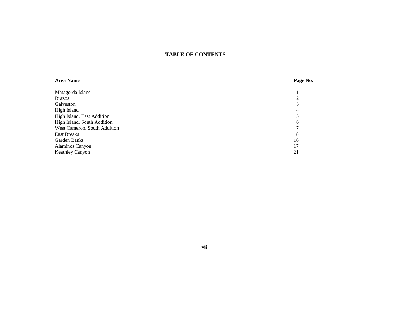## **TABLE OF CONTENTS**

| <b>Area Name</b>             | Page No. |
|------------------------------|----------|
| Matagorda Island             |          |
| <b>Brazos</b>                |          |
| Galveston                    | 3        |
| High Island                  | 4        |
| High Island, East Addition   |          |
| High Island, South Addition  | 6        |
| West Cameron, South Addition |          |
| <b>East Breaks</b>           | 8        |
| Garden Banks                 | 16       |
| Alaminos Canyon              | 17       |
| <b>Keathley Canyon</b>       | 21       |

**vii**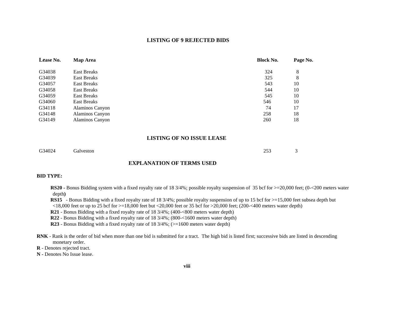#### **LISTING OF 9 REJECTED BIDS**

| Lease No. | <b>Map Area</b>    | <b>Block No.</b> | Page No. |
|-----------|--------------------|------------------|----------|
| G34038    | <b>East Breaks</b> | 324              | 8        |
| G34039    | <b>East Breaks</b> | 325              | 8        |
| G34057    | East Breaks        | 543              | 10       |
| G34058    | East Breaks        | 544              | 10       |
| G34059    | East Breaks        | 545              | 10       |
| G34060    | East Breaks        | 546              | 10       |
| G34118    | Alaminos Canyon    | 74               | 17       |
| G34148    | Alaminos Canyon    | 258              | 18       |
| G34149    | Alaminos Canyon    | 260              | 18       |

#### **LISTING OF NO ISSUE LEASE**

| G34024 Galveston | 253 | $\overline{3}$ |
|------------------|-----|----------------|
|                  |     |                |

### **EXPLANATION OF TERMS USED**

#### **BID TYPE:**

**RS20 -** Bonus Bidding system with a fixed royalty rate of 18 3/4%; possible royalty suspension of 35 bcf for  $>=$  20,000 feet; (0-<200 meters water depth**)**

**RS15** - Bonus Bidding with a fixed royalty rate of 18 3/4%; possible royalty suspension of up to 15 bcf for  $\geq$ =15,000 feet subsea depth but  $\langle 18,000 \text{ feet}$  or up to 25 bcf for  $>=18,000$  feet but  $\langle 20,000 \text{ feet}$  or 35 bcf for  $>=20,000$  feet; (200 $\sim$  400 meters water depth)

**R21** - Bonus Bidding with a fixed royalty rate of 18 3/4%; (400-<800 meters water depth)

**R22** - Bonus Bidding with a fixed royalty rate of 18 3/4%; (800-<1600 meters water depth)

**R23** - Bonus Bidding with a fixed royalty rate of 18  $3/4\%$ ; ( $> = 1600$  meters water depth)

**RNK** - Rank is the order of bid when more than one bid is submitted for a tract. The high bid is listed first; successive bids are listed in descending monetary order.

**R** - Denotes rejected tract.

**N -** Denotes No Issue lease.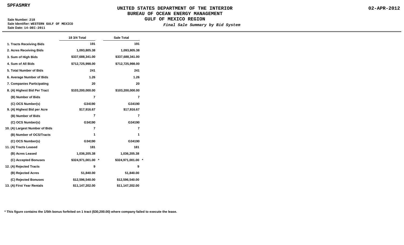**SPFASMRY**

## **UNITED STATES DEPARTMENT OF THE INTERIOR BUREAU OF OCEAN ENERGY MANAGEMI GULF OF MEXICO REGION**

**Sale Number: 218 Sale Identifier: WESTERN GULF OF MEXICO Sale Date: 14-DEC-2011**

Final Sale Summary by

| <b>ENT</b> |  |  |
|------------|--|--|
| Bid System |  |  |
|            |  |  |

|                                | 18 3/4 Total                | <b>Sale Total</b> |  |  |
|--------------------------------|-----------------------------|-------------------|--|--|
| 1. Tracts Receiving Bids       | 191                         | 191               |  |  |
| 2. Acres Receiving Bids        | 1,093,805.38                | 1,093,805.38      |  |  |
| 3. Sum of High Bids            | \$337,688,341.00            | \$337,688,341.00  |  |  |
| 4. Sum of All Bids             | \$712,725,998.00            | \$712,725,998.00  |  |  |
| 5. Total Number of Bids        | 241                         | 241               |  |  |
| 6. Average Number of Bids      | 1.26                        | 1.26              |  |  |
| 7. Companies Participating     | 20                          | 20                |  |  |
| 8. (A) Highest Bid Per Tract   | \$103,200,000.00            | \$103,200,000.00  |  |  |
| (B) Number of Bids             | $\overline{7}$              | $\overline{7}$    |  |  |
| (C) OCS Number(s)              | G34190                      | G34190            |  |  |
| 9. (A) Highest Bid per Acre    | \$17,916.67                 | \$17,916.67       |  |  |
| (B) Number of Bids             | 7                           | 7                 |  |  |
| (C) OCS Number(s)              | G34190                      | G34190            |  |  |
| 10. (A) Largest Number of Bids | 7                           | 7                 |  |  |
| (B) Number of OCS/Tracts       | 1                           | 1                 |  |  |
| (C) OCS Number(s)              | G34190                      | G34190            |  |  |
| 11. (A) Tracts Leased          | 181                         | 181               |  |  |
| (B) Acres Leased               | 1,036,205.38                | 1,036,205.38      |  |  |
| (C) Accepted Bonuses           | \$324,971,001.00<br>$\star$ | \$324,971,001.00  |  |  |
| 12. (A) Rejected Tracts        | 9                           | 9                 |  |  |
| (B) Rejected Acres             | 51,840.00                   | 51,840.00         |  |  |
| (C) Rejected Bonuses           | \$12,596,540.00             | \$12,596,540.00   |  |  |
| 13. (A) First Year Rentals     | \$11,147,202.00             | \$11,147,202.00   |  |  |

**\* This figure contains the 1/5th bonus forfeited on 1 tract (\$30,200.00) where company failed to execute the lease.**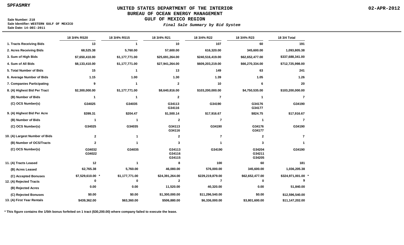**SPFASMRY**

## **UNITED STATES DEPARTMENT OF THE INTERIOR BUREAU OF OCEAN ENERGY MANAGEMENT**

**GULF OF MEXICO REGION**

**Sale Number: 218 Sale Identifier: WESTERN GULF OF MEXICO Sale Date: 14-DEC-2011**

#### **Final Sale Summary by Bid System**

|                                | 18 3/4% RS20     | 18 3/4% RS15         | 18 3/4% R21                | 18 3/4% R22      | 18 3/4% R23                | 18 3/4 Total     |
|--------------------------------|------------------|----------------------|----------------------------|------------------|----------------------------|------------------|
| 1. Tracts Receiving Bids       | 13               | $\blacktriangleleft$ | 10                         | 107              | 60                         | 191              |
| 2. Acres Receiving Bids        | 68,525.38        | 5,760.00             | 57,600.00                  | 616,320.00       | 345,600.00                 | 1,093,805.38     |
| 3. Sum of High Bids            | \$7,650,410.00   | \$1,177,771.00       | \$25,691,264.00            | \$240,516,419.00 | \$62,652,477.00            | \$337,688,341.00 |
| 4. Sum of All Bids             | \$8,133,410.00   | \$1,177,771.00       | \$27,941,264.00            | \$609,203,219.00 | \$66,270,334.00            | \$712,725,998.00 |
| 5. Total Number of Bids        | 15               | 1                    | 13                         | 149              | 63                         | 241              |
| 6. Average Number of Bids      | 1.15             | 1.00                 | 1.30                       | 1.39             | 1.05                       | 1.26             |
| 7. Companies Participating     | 9                | 1                    | $\mathbf{2}$               | 10               | 6                          | 20               |
| 8. (A) Highest Bid Per Tract   | \$2,300,000.00   | \$1,177,771.00       | \$8,640,816.00             | \$103,200,000.00 | \$4,750,535.00             | \$103,200,000.00 |
| (B) Number of Bids             | -1               |                      | $\mathbf{2}$               | 7                | 1                          | 7                |
| (C) OCS Number(s)              | G34025           | G34035               | G34113<br>G34116           | G34190           | G34176<br>G34177           | G34190           |
| 9. (A) Highest Bid Per Acre    | \$399.31         | \$204.47             | \$1,500.14                 | \$17,916.67      | \$824.75                   | \$17,916.67      |
| (B) Number of Bids             |                  | 1                    | $\mathbf{2}$               | 7                | -1                         | 7                |
| (C) OCS Number(s)              | G34025           | G34035               | G34113<br>G34116           | G34190           | G34176<br>G34177           | G34190           |
| 10. (A) Largest Number of Bids | 2                | 1                    | $\mathbf{2}$               | 7                | $\mathbf{2}$               | 7                |
| (B) Number of OCS/Tracts       | 2                |                      | 3                          |                  | 3                          |                  |
| (C) OCS Number(s)              | G34032<br>G34022 | G34035               | G34113<br>G34116<br>G34115 | G34190           | G34204<br>G34211<br>G34205 | G34190           |
| 11. (A) Tracts Leased          | 12               | 1                    | 8                          | 100              | 60                         | 181              |
| (B) Acres Leased               | 62,765.38        | 5,760.00             | 46,080.00                  | 576,000.00       | 345,600.00                 | 1,036,205.38     |
| (C) Accepted Bonuses           | \$7,529,610.00 * | \$1,177,771.00       | \$24,391,264.00            | \$229,219,879.00 | \$62,652,477.00            | \$324,971,001.00 |
| 12. (A) Rejected Tracts        | 0                | 0                    | $\mathbf{2}$               | 7                | 0                          |                  |
| (B) Rejected Acres             | 0.00             | 0.00                 | 11,520.00                  | 40,320.00        | 0.00                       | 51,840.00        |
| (C) Rejected Bonuses           | \$0.00           | \$0.00               | \$1,300,000.00             | \$11,296,540.00  | \$0.00                     | \$12,596,540.00  |
| 13. (A) First Year Rentals     | \$439,362.00     | \$63,360.00          | \$506,880.00               | \$6,336,000.00   | \$3,801,600.00             | \$11,147,202.00  |

**\* This figure contains the 1/5th bonus forfeited on 1 tract (\$30,200.00) where company failed to execute the lease.**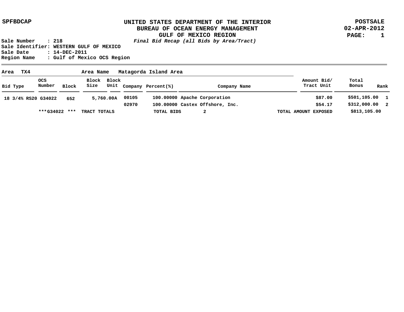**POSTSALE 02-APR-2012 PAGE: 1**

| Matagorda Island Area<br>TX4<br>Area<br>Area Name |               |       |                     |           |       |                         |                                 |                           |                        |
|---------------------------------------------------|---------------|-------|---------------------|-----------|-------|-------------------------|---------------------------------|---------------------------|------------------------|
| Bid Type                                          | ocs<br>Number | Block | Block Block<br>Size |           |       | Unit Company Percent(%) | Company Name                    | Amount Bid/<br>Tract Unit | Total<br>Bonus<br>Rank |
| 18 3/4% RS20 G34022                               |               | 652   |                     | 5,760.00A | 00105 |                         | 100.00000 Apache Corporation    | \$87.00                   | \$501,105.00 1         |
|                                                   |               |       |                     |           | 02970 |                         | 100.00000 Castex Offshore, Inc. | \$54.17                   | \$312,000.00 2         |
|                                                   | ***G34022     | ***   | TRACT TOTALS        |           |       | TOTAL BIDS              |                                 | TOTAL AMOUNT EXPOSED      | \$813,105.00           |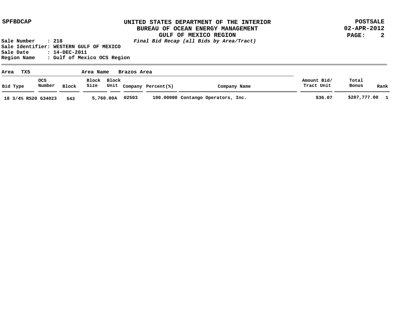**POSTSALE 02-APR-2012 PAGE: 2**

| TX5<br>Area<br>Brazos Area<br>Area Name |               |       |                     |           |       |                         |                                    |                           |                |      |
|-----------------------------------------|---------------|-------|---------------------|-----------|-------|-------------------------|------------------------------------|---------------------------|----------------|------|
| Bid Type                                | ocs<br>Number | Block | Block Block<br>Size |           |       | Unit Company Percent(%) | Company Name                       | Amount Bid/<br>Tract Unit | Total<br>Bonus | Rank |
| 18 3/4% RS20 G34023                     |               | 543   |                     | 5,760.00A | 02503 |                         | 100.00000 Contango Operators, Inc. | \$36.07                   | \$207,777.00 1 |      |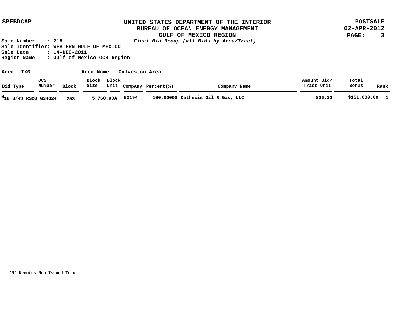**POSTSALE 02-APR-2012 PAGE: 3**

**Sale Number : 218 Final Bid Recap (all Bids by Area/Tract) Sale Identifier: WESTERN GULF OF MEXICO Sale Date : 14-DEC-2011 Region Name : Gulf of Mexico OCS Region**

| тх6<br>Galveston Area<br>Area<br>Area Name |               |       |                     |           |       |                         |                                   |                           |                |      |
|--------------------------------------------|---------------|-------|---------------------|-----------|-------|-------------------------|-----------------------------------|---------------------------|----------------|------|
| Bid Type                                   | ocs<br>Number | Block | Block Block<br>Size |           |       | Unit Company Percent(%) | Company Name                      | Amount Bid/<br>Tract Unit | Total<br>Bonus | Rank |
| N <sub>18</sub> 3/4% RS20 G34024           |               | 253   |                     | 5,760.00A | 03194 |                         | 100.00000 Cathexis Oil & Gas, LLC | \$26.22                   | \$151,000.00 1 |      |

**'N' Denotes Non-Issued Tract.**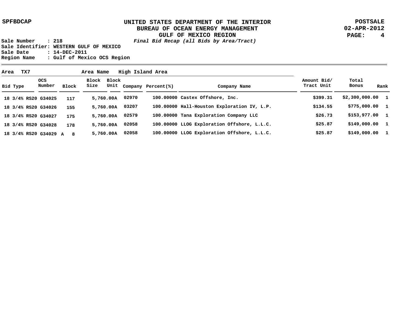**POSTSALE 02-APR-2012 PAGE: 4**

| TX7<br>Area           | High Island Area<br>Area Name |              |      |             |       |                         |                                             |                           |                  |      |
|-----------------------|-------------------------------|--------------|------|-------------|-------|-------------------------|---------------------------------------------|---------------------------|------------------|------|
| Bid Type              | ocs<br>Number                 | <b>Block</b> | Size | Block Block |       | Unit Company Percent(%) | Company Name                                | Amount Bid/<br>Tract Unit | Total<br>Bonus   | Rank |
| 18 3/4% RS20 G34025   |                               | 117          |      | 5,760.00A   | 02970 |                         | 100.00000 Castex Offshore, Inc.             | \$399.31                  | \$2,300,000.001  |      |
| 18 3/4% RS20 G34026   |                               | 155          |      | 5,760.00A   | 03207 |                         | 100.00000 Hall-Houston Exploration IV, L.P. | \$134.55                  | \$775,000.00 1   |      |
| 18 3/4% RS20 G34027   |                               | 175          |      | 5,760.00A   | 02579 |                         | 100.00000 Tana Exploration Company LLC      | \$26.73                   | \$153,977.00 1   |      |
| 18 3/4% RS20 G34028   |                               | 178          |      | 5,760.00A   | 02058 |                         | 100.00000 LLOG Exploration Offshore, L.L.C. | \$25.87                   | $$149,000.001$ 1 |      |
| 18 3/4% RS20 G34029 A |                               | - 8          |      | 5,760.00A   | 02058 |                         | 100.00000 LLOG Exploration Offshore, L.L.C. | \$25.87                   | \$149,000.001    |      |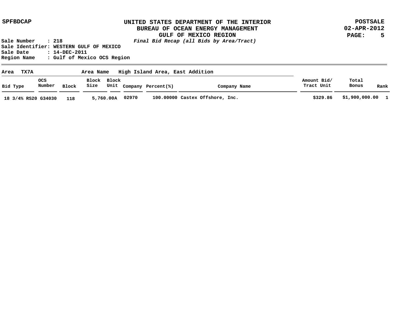**POSTSALE 02-APR-2012 PAGE: 5**

| High Island Area, East Addition<br>TX7A<br>Area<br>Area Name |                      |       |                     |           |       |                         |                                 |                           |                  |      |
|--------------------------------------------------------------|----------------------|-------|---------------------|-----------|-------|-------------------------|---------------------------------|---------------------------|------------------|------|
| Bid Type                                                     | <b>OCS</b><br>Number | Block | Block Block<br>Size |           |       | Unit Company Percent(%) | Company Name                    | Amount Bid/<br>Tract Unit | Total<br>Bonus   | Rank |
| 18 3/4% RS20 G34030                                          |                      | 118   |                     | 5,760.00A | 02970 |                         | 100.00000 Castex Offshore, Inc. | \$329.86                  | \$1,900,000.00 1 |      |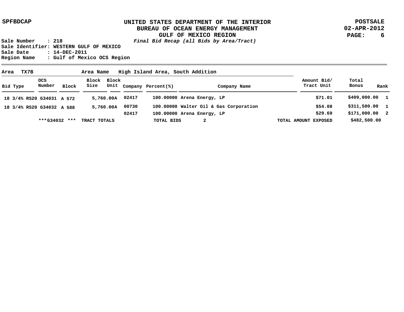**POSTSALE 02-APR-2012 PAGE: 6**

| High Island Area, South Addition<br>TX7B<br>Area<br>Area Name |                      |       |                     |           |       |                         |                                        |                           |                        |  |
|---------------------------------------------------------------|----------------------|-------|---------------------|-----------|-------|-------------------------|----------------------------------------|---------------------------|------------------------|--|
| Bid Type                                                      | <b>OCS</b><br>Number | Block | Block Block<br>Size |           |       | Unit Company Percent(%) | Company Name                           | Amount Bid/<br>Tract Unit | Total<br>Bonus<br>Rank |  |
| 18 3/4% RS20 G34031 A 572                                     |                      |       |                     | 5,760.00A | 02417 |                         | 100.00000 Arena Energy, LP             | \$71.01                   | \$409,000.00 1         |  |
| 18 3/4% RS20 G34032 A 588                                     |                      |       |                     | 5,760.00A | 00730 |                         | 100.00000 Walter Oil & Gas Corporation | \$54.08                   | \$311,500.00 1         |  |
|                                                               |                      |       |                     |           | 02417 |                         | 100.00000 Arena Energy, LP             | \$29.69                   | \$171,000.00 2         |  |
|                                                               | ***G34032            | ***   | TRACT TOTALS        |           |       | TOTAL BIDS              | 2                                      | TOTAL AMOUNT EXPOSED      | \$482,500.00           |  |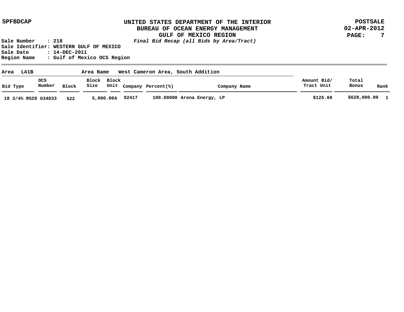**POSTSALE 02-APR-2012 PAGE: 7**

| Area<br><b>LA1B</b> |               |       | Area Name           |           |       |                         | West Cameron Area, South Addition |                           |                |              |
|---------------------|---------------|-------|---------------------|-----------|-------|-------------------------|-----------------------------------|---------------------------|----------------|--------------|
| Bid Type            | ocs<br>Number | Block | Block Block<br>Size |           |       | Unit Company Percent(%) | Company Name                      | Amount Bid/<br>Tract Unit | Total<br>Bonus | Rank         |
| 18 3/4% RS20 G34033 |               | 522   |                     | 5,000.00A | 02417 |                         | 100.00000 Arena Energy, LP        | \$125.60                  | \$628,000.00   | $\mathbf{1}$ |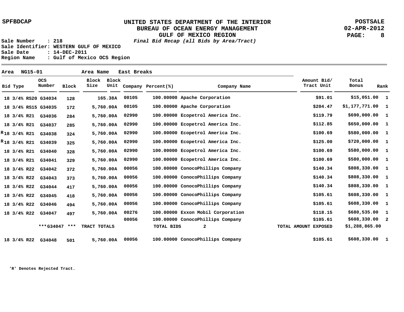**POSTSALE 02-APR-2012 PAGE: 8**

**Sale Number : 218 Final Bid Recap (all Bids by Area/Tract) Sale Identifier: WESTERN GULF OF MEXICO Sale Date : 14-DEC-2011 Region Name : Gulf of Mexico OCS Region**

| Area |                   | <b>NG15-01</b> |                          |              | Area Name     |               | East Breaks |                    |                                   |                           |                   |      |
|------|-------------------|----------------|--------------------------|--------------|---------------|---------------|-------------|--------------------|-----------------------------------|---------------------------|-------------------|------|
|      | Bid Type          |                | OCS<br>Number            | <b>Block</b> | Block<br>Size | Block<br>Unit |             | Company Percent(%) | Company Name                      | Amount Bid/<br>Tract Unit | Total<br>Bonus    | Rank |
|      |                   |                | 18 3/4% RS20 G34034      | 128          |               | 165.38A       | 00105       |                    | 100.00000 Apache Corporation      | \$91.01                   | \$15,051.00 1     |      |
|      |                   |                | 18 3/4% RS15 G34035      | 172          |               | 5,760.00A     | 00105       |                    | 100.00000 Apache Corporation      | \$204.47                  | $$1,177,771.00$ 1 |      |
|      |                   |                | 18 3/4% R21 G34036       | 284          |               | 5,760.00A     | 02990       |                    | 100.00000 Ecopetrol America Inc.  | \$119.79                  | \$690,000.00 1    |      |
|      |                   |                | 18 3/4% R21 G34037       | 285          |               | 5,760.00A     | 02990       |                    | 100.00000 Ecopetrol America Inc.  | \$112.85                  | \$650,000.00 1    |      |
|      | $R_{18}$ 3/4% R21 |                | G34038                   | 324          |               | 5,760.00A     | 02990       |                    | 100.00000 Ecopetrol America Inc.  | \$100.69                  | \$580,000.00 1    |      |
|      |                   |                | $R_{18}$ 3/4% R21 G34039 | 325          |               | 5,760.00A     | 02990       |                    | 100.00000 Ecopetrol America Inc.  | \$125.00                  | \$720,000.00 1    |      |
|      |                   |                | 18 3/4% R21 G34040       | 328          |               | 5,760.00A     | 02990       |                    | 100.00000 Ecopetrol America Inc.  | \$100.69                  | \$580,000.00 1    |      |
|      |                   | 18 3/4% R21    | G34041                   | 329          |               | 5,760.00A     | 02990       |                    | 100.00000 Ecopetrol America Inc.  | \$100.69                  | \$580,000.00 1    |      |
|      | 18 3/4% R22       |                | G34042                   | 372          |               | 5,760.00A     | 00056       |                    | 100.00000 ConocoPhillips Company  | \$140.34                  | \$808,330.00 1    |      |
|      |                   | 18 3/4% R22    | G34043                   | 373          |               | 5,760.00A     | 00056       |                    | 100.00000 ConocoPhillips Company  | \$140.34                  | \$808,330.00 1    |      |
|      |                   | 18 3/4% R22    | G34044                   | 417          |               | 5,760.00A     | 00056       |                    | 100.00000 ConocoPhillips Company  | \$140.34                  | \$808,330.00 1    |      |
|      |                   | 18 3/4% R22    | G34045                   | 418          |               | 5,760.00A     | 00056       |                    | 100.00000 ConocoPhillips Company  | \$105.61                  | \$608,330.00 1    |      |
|      |                   | 18 3/4% R22    | G34046                   | 494          |               | 5,760.00A     | 00056       |                    | 100.00000 ConocoPhillips Company  | \$105.61                  | \$608,330.00 1    |      |
|      | 18 3/4% R22       |                | G34047                   | 497          |               | 5,760.00A     | 00276       |                    | 100.00000 Exxon Mobil Corporation | \$118.15                  | \$680,535.00 1    |      |
|      |                   |                |                          |              |               |               | 00056       |                    | 100.00000 ConocoPhillips Company  | \$105.61                  | $$608,330.00$ 2   |      |
|      |                   |                | ***G34047                | ***          | TRACT TOTALS  |               |             | TOTAL BIDS         | $\mathbf{2}$                      | TOTAL AMOUNT EXPOSED      | \$1,288,865.00    |      |
|      | 18 3/4% R22       |                | G34048                   | 501          |               | 5,760.00A     | 00056       |                    | 100.00000 ConocoPhillips Company  | \$105.61                  | \$608,330.00 1    |      |

**'R' Denotes Rejected Tract.**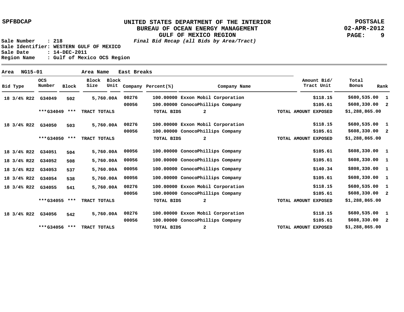**POSTSALE 02-APR-2012 PAGE: 9**

| Area | NG15-01     |                      |              | Area Name     |               | East Breaks |                    |                                   |                           |                                         |
|------|-------------|----------------------|--------------|---------------|---------------|-------------|--------------------|-----------------------------------|---------------------------|-----------------------------------------|
|      | Bid Type    | <b>OCS</b><br>Number | <b>Block</b> | Block<br>Size | Block<br>Unit |             | Company Percent(%) | Company Name                      | Amount Bid/<br>Tract Unit | Total<br>Bonus<br>Rank                  |
|      | 18 3/4% R22 | G34049               | 502          |               | 5,760.00A     | 00276       |                    | 100.00000 Exxon Mobil Corporation | \$118.15                  | \$680,535.00<br>1                       |
|      |             |                      |              |               |               | 00056       |                    | 100.00000 ConocoPhillips Company  | \$105.61                  | \$608,330.00<br>$\overline{\mathbf{2}}$ |
|      |             | ***G34049 ***        |              | TRACT TOTALS  |               |             | <b>TOTAL BIDS</b>  | 2                                 | TOTAL AMOUNT EXPOSED      | \$1,288,865.00                          |
|      | 18 3/4% R22 | G34050               | 503          |               | 5,760.00A     | 00276       |                    | 100.00000 Exxon Mobil Corporation | \$118.15                  | \$680,535.00<br>-1                      |
|      |             |                      |              |               |               | 00056       |                    | 100.00000 ConocoPhillips Company  | \$105.61                  | $$608,330.00$ 2                         |
|      |             | ***G34050            | ***          | TRACT TOTALS  |               |             | <b>TOTAL BIDS</b>  | $\mathbf{2}$                      | TOTAL AMOUNT EXPOSED      | \$1,288,865.00                          |
|      | 18 3/4% R22 | G34051               | 504          |               | 5,760.00A     | 00056       |                    | 100.00000 ConocoPhillips Company  | \$105.61                  | \$608,330.00 1                          |
|      | 18 3/4% R22 | G34052               | 508          |               | 5,760.00A     | 00056       |                    | 100.00000 ConocoPhillips Company  | \$105.61                  | \$608,330.00<br>-1                      |
|      | 18 3/4% R22 | G34053               | 537          |               | 5,760.00A     | 00056       |                    | 100.00000 ConocoPhillips Company  | \$140.34                  | \$808,330.00<br>- 1                     |
|      | 18 3/4% R22 | G34054               | 538          |               | 5,760.00A     | 00056       |                    | 100.00000 ConocoPhillips Company  | \$105.61                  | \$608,330.00<br>- 1                     |
|      | 18 3/4% R22 | G34055               | 541          |               | 5,760.00A     | 00276       |                    | 100.00000 Exxon Mobil Corporation | \$118.15                  | \$680,535.00<br>$\mathbf{1}$            |
|      |             |                      |              |               |               | 00056       |                    | 100.00000 ConocoPhillips Company  | \$105.61                  | $$608,330.00$ 2                         |
|      |             | ***G34055 ***        |              | TRACT TOTALS  |               |             | <b>TOTAL BIDS</b>  | 2                                 | TOTAL AMOUNT EXPOSED      | \$1,288,865.00                          |
|      | 18 3/4% R22 | G34056               | 542          |               | 5,760.00A     | 00276       |                    | 100.00000 Exxon Mobil Corporation | \$118.15                  | \$680,535.00<br>-1                      |
|      |             |                      |              |               |               | 00056       |                    | 100.00000 ConocoPhillips Company  | \$105.61                  | \$608,330.00<br>-2                      |
|      |             | ***G34056            | ***          | TRACT TOTALS  |               |             | <b>TOTAL BIDS</b>  | 2                                 | TOTAL AMOUNT EXPOSED      | \$1,288,865.00                          |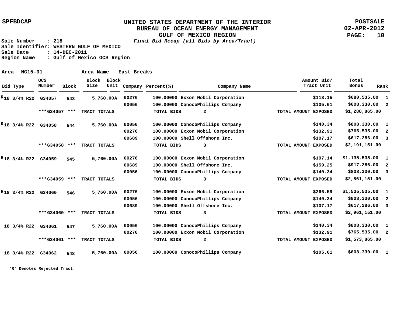**POSTSALE 02-APR-2012 PAGE: 10**

**Sale Number : 218 Final Bid Recap (all Bids by Area/Tract) Sale Identifier: WESTERN GULF OF MEXICO Sale Date : 14-DEC-2011 Region Name : Gulf of Mexico OCS Region**

| Area |                   | NG15-01 |                                 |              | Area Name            |               | East Breaks |                    |                                   |                           |                |                          |
|------|-------------------|---------|---------------------------------|--------------|----------------------|---------------|-------------|--------------------|-----------------------------------|---------------------------|----------------|--------------------------|
|      | Bid Type          |         | <b>OCS</b><br>Number            | <b>Block</b> | <b>Block</b><br>Size | Block<br>Unit |             | Company Percent(%) | Company Name                      | Amount Bid/<br>Tract Unit | Total<br>Bonus | Rank                     |
|      |                   |         | <sup>R</sup> 18 3/4% R22 G34057 | 543          |                      | 5,760.00A     | 00276       |                    | 100.00000 Exxon Mobil Corporation | \$118.15                  | \$680,535.00   | 1                        |
|      |                   |         |                                 |              |                      |               | 00056       |                    | 100.00000 ConocoPhillips Company  | \$105.61                  | \$608,330.00   | $\overline{\phantom{a}}$ |
|      |                   |         | ***G34057 ***                   |              | TRACT TOTALS         |               |             | <b>TOTAL BIDS</b>  | $\overline{a}$                    | TOTAL AMOUNT EXPOSED      | \$1,288,865.00 |                          |
|      | $R_{18}$ 3/4% R22 |         | G34058                          | 544          |                      | 5,760.00A     | 00056       |                    | 100.00000 ConocoPhillips Company  | \$140.34                  | \$808,330.00   | $\mathbf{1}$             |
|      |                   |         |                                 |              |                      |               | 00276       |                    | 100.00000 Exxon Mobil Corporation | \$132.91                  | \$765,535.00   | $\overline{\mathbf{2}}$  |
|      |                   |         |                                 |              |                      |               | 00689       |                    | 100.00000 Shell Offshore Inc.     | \$107.17                  | \$617,286.00   | $\overline{\mathbf{3}}$  |
|      |                   |         | ***G34058 ***                   |              | TRACT TOTALS         |               |             | <b>TOTAL BIDS</b>  | 3                                 | TOTAL AMOUNT EXPOSED      | \$2,191,151.00 |                          |
|      | $R_{18}$ 3/4% R22 |         | G34059                          | 545          |                      | 5,760.00A     | 00276       |                    | 100.00000 Exxon Mobil Corporation | \$197.14                  | \$1,135,535.00 | 1                        |
|      |                   |         |                                 |              |                      |               | 00689       |                    | 100.00000 Shell Offshore Inc.     | \$159.25                  | \$917,286.00   | $\overline{2}$           |
|      |                   |         |                                 |              |                      |               | 00056       |                    | 100.00000 ConocoPhillips Company  | \$140.34                  | \$808,330.00   | $\overline{\mathbf{3}}$  |
|      |                   |         | ***G34059 ***                   |              | TRACT TOTALS         |               |             | <b>TOTAL BIDS</b>  | 3                                 | TOTAL AMOUNT EXPOSED      | \$2,861,151.00 |                          |
|      | $R_{18}$ 3/4% R22 |         | G34060                          | 546          |                      | 5,760.00A     | 00276       |                    | 100.00000 Exxon Mobil Corporation | \$266.59                  | \$1,535,535.00 | $\mathbf{1}$             |
|      |                   |         |                                 |              |                      |               | 00056       |                    | 100.00000 ConocoPhillips Company  | \$140.34                  | \$808,330.00   | $\overline{2}$           |
|      |                   |         |                                 |              |                      |               | 00689       |                    | 100.00000 Shell Offshore Inc.     | \$107.17                  | \$617,286.00   | $\overline{\mathbf{3}}$  |
|      |                   |         | ***G34060 ***                   |              | TRACT TOTALS         |               |             | <b>TOTAL BIDS</b>  | 3                                 | TOTAL AMOUNT EXPOSED      | \$2,961,151.00 |                          |
|      | 18 3/4% R22       |         | G34061                          | 547          |                      | 5,760.00A     | 00056       |                    | 100.00000 ConocoPhillips Company  | \$140.34                  | \$808,330.00   | 1                        |
|      |                   |         |                                 |              |                      |               | 00276       |                    | 100.00000 Exxon Mobil Corporation | \$132.91                  | \$765,535.00   | $\overline{\mathbf{2}}$  |
|      |                   |         | ***G34061                       | ***          | TRACT TOTALS         |               |             | <b>TOTAL BIDS</b>  | $\mathbf{2}$                      | TOTAL AMOUNT EXPOSED      | \$1,573,865.00 |                          |
|      | 18 3/4% R22       |         | G34062                          | 548          |                      | 5,760.00A     | 00056       |                    | 100.00000 ConocoPhillips Company  | \$105.61                  | \$608,330.00   | -1                       |

**'R' Denotes Rejected Tract.**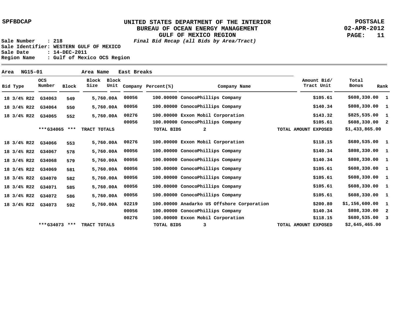**POSTSALE 02-APR-2012 PAGE: 11**

| Area |             | NG15-01 |                      |       | Area Name     |               | East Breaks |                    |                                            |                           |                 |                         |
|------|-------------|---------|----------------------|-------|---------------|---------------|-------------|--------------------|--------------------------------------------|---------------------------|-----------------|-------------------------|
|      | Bid Type    |         | <b>OCS</b><br>Number | Block | Block<br>Size | Block<br>Unit |             | Company Percent(%) | Company Name                               | Amount Bid/<br>Tract Unit | Total<br>Bonus  | Rank                    |
|      | 18 3/4% R22 |         | G34063               | 549   |               | 5,760.00A     | 00056       |                    | 100.00000 ConocoPhillips Company           | \$105.61                  | \$608,330.00    | -1                      |
|      | 18 3/4% R22 |         | G34064               | 550   |               | 5,760.00A     | 00056       |                    | 100.00000 ConocoPhillips Company           | \$140.34                  | \$808,330.00 1  |                         |
|      | 18 3/4% R22 |         | G34065               | 552   |               | 5,760.00A     | 00276       |                    | 100.00000 Exxon Mobil Corporation          | \$143.32                  | $$825,535.00$ 1 |                         |
|      |             |         |                      |       |               |               | 00056       |                    | 100.00000 ConocoPhillips Company           | \$105.61                  | $$608,330.00$ 2 |                         |
|      |             |         | ***G34065 ***        |       | TRACT TOTALS  |               |             | TOTAL BIDS         | $\mathbf{2}$                               | TOTAL AMOUNT EXPOSED      | \$1,433,865.00  |                         |
|      | 18 3/4% R22 |         | G34066               | 553   |               | 5,760.00A     | 00276       |                    | 100.00000 Exxon Mobil Corporation          | \$118.15                  | \$680,535.00 1  |                         |
|      | 18 3/4% R22 |         | G34067               | 578   |               | 5,760.00A     | 00056       |                    | 100.00000 ConocoPhillips Company           | \$140.34                  | \$808,330.00 1  |                         |
|      | 18 3/4% R22 |         | G34068               | 579   |               | 5,760.00A     | 00056       |                    | 100.00000 ConocoPhillips Company           | \$140.34                  | \$808,330.00 1  |                         |
|      | 18 3/4% R22 |         | G34069               | 581   |               | 5,760.00A     | 00056       |                    | 100.00000 ConocoPhillips Company           | \$105.61                  | \$608,330.00 1  |                         |
|      | 18 3/4% R22 |         | G34070               | 582   |               | 5,760.00A     | 00056       |                    | 100.00000 ConocoPhillips Company           | \$105.61                  | \$608,330.00 1  |                         |
|      | 18 3/4% R22 |         | G34071               | 585   |               | 5,760.00A     | 00056       |                    | 100.00000 ConocoPhillips Company           | \$105.61                  | \$608,330.00 1  |                         |
|      | 18 3/4% R22 |         | G34072               | 586   |               | 5,760.00A     | 00056       |                    | 100.00000 ConocoPhillips Company           | \$105.61                  | \$608,330.00 1  |                         |
|      | 18 3/4% R22 |         | G34073               | 592   |               | 5,760.00A     | 02219       |                    | 100.00000 Anadarko US Offshore Corporation | \$200.80                  | \$1,156,600.00  | $\mathbf{1}$            |
|      |             |         |                      |       |               |               | 00056       |                    | 100.00000 ConocoPhillips Company           | \$140.34                  | \$808,330.00    | $\overline{\mathbf{2}}$ |
|      |             |         |                      |       |               |               | 00276       |                    | 100.00000 Exxon Mobil Corporation          | \$118.15                  | $$680,535.00$ 3 |                         |
|      |             |         | ***G34073 ***        |       | TRACT TOTALS  |               |             | TOTAL BIDS         | 3                                          | TOTAL AMOUNT EXPOSED      | \$2,645,465.00  |                         |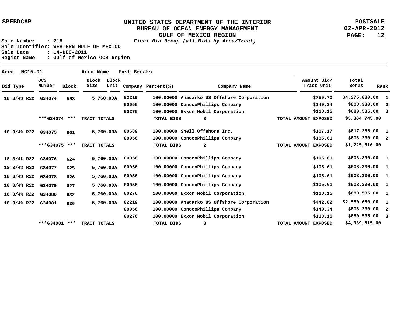**POSTSALE 02-APR-2012 PAGE: 12**

**Sale Number : 218 Final Bid Recap (all Bids by Area/Tract) Sale Identifier: WESTERN GULF OF MEXICO Sale Date : 14-DEC-2011 Region Name : Gulf of Mexico OCS Region**

 **593 601 624 625 626 627 632 636 100.00000 Anadarko US Offshore Corporation 100.00000 ConocoPhillips Company 100.00000 Exxon Mobil Corporation 100.00000 Shell Offshore Inc. 100.00000 ConocoPhillips Company 100.00000 ConocoPhillips Company 100.00000 ConocoPhillips Company 100.00000 ConocoPhillips Company 100.00000 ConocoPhillips Company 100.00000 Exxon Mobil Corporation 100.00000 Anadarko US Offshore Corporation 100.00000 ConocoPhillips Company 100.00000 Exxon Mobil Corporation 02219 00056 00276 00689 00056 00056 00056 00056 00056 00276 02219 00056 00276 \$4,375,880.00 \$808,330.00 \$680,535.00 3 \$617,286.00 \$608,330.00 \$608,330.00 \$608,330.00 \$608,330.00 \$608,330.00 1 \$680,535.00 1 \$2,550,650.00 \$808,330.00 \$680,535.00 3 1 2 1 2 1 1 1 1 2 \$759.70 \$140.34 \$118.15 \$107.17 \$105.61 \$105.61 \$105.61 \$105.61 \$105.61 \$118.15 \$442.82 \$140.34 \$118.15 G34074 18 3/4% R22 G34075 18 3/4% R22 G34076 18 3/4% R22 G34077 18 3/4% R22 G34078 18 3/4% R22 G34079 18 3/4% R22 G34080 18 3/4% R22 G34081 18 3/4% R22 5,760.00 A 5,760.00 A 5,760.00 A 5,760.00 A 5,760.00 A 5,760.00 A 5,760.00 A 5,760.00 A \$5,864,745.00 \$1,225,616.00 \$4,039,515.00 3 2 3 \*\*\* \*\*\* TRACT TOTALS G34074 \*\*\* \*\*\* TRACT TOTALS G34075 \*\*\* \*\*\* TRACT TOTALS G34081 TOTAL BIDS TOTAL BIDS TOTAL BIDS TOTAL AMOUNT EXPOSED TOTAL AMOUNT EXPOSED TOTAL AMOUNT EXPOSED Bid Type OCS Number Block Block Block Size Unit Company Percent(%) Company Name Amount Bid/ Tract Unit Total Bonus Rank Area NG15-01 Area Name East Breaks**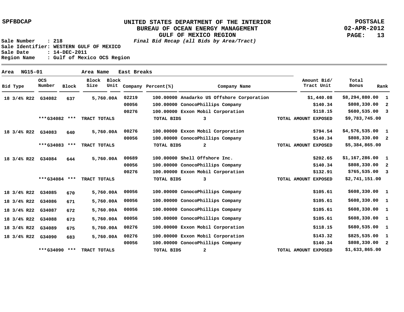**POSTSALE 02-APR-2012 PAGE: 13**

| NG15-01<br>Area |                      |              | Area Name     |               | East Breaks |                    |                                            |                           |                |                          |
|-----------------|----------------------|--------------|---------------|---------------|-------------|--------------------|--------------------------------------------|---------------------------|----------------|--------------------------|
| Bid Type        | <b>OCS</b><br>Number | <b>Block</b> | Block<br>Size | Block<br>Unit |             | Company Percent(%) | Company Name                               | Amount Bid/<br>Tract Unit | Total<br>Bonus | Rank                     |
| 18 3/4% R22     | G34082               | 637          |               | 5,760.00A     | 02219       |                    | 100.00000 Anadarko US Offshore Corporation | \$1,440.08                | \$8,294,880.00 | $\mathbf{1}$             |
|                 |                      |              |               |               | 00056       |                    | 100.00000 ConocoPhillips Company           | \$140.34                  | \$808,330.00   | $\overline{\mathbf{2}}$  |
|                 |                      |              |               |               | 00276       |                    | 100.00000 Exxon Mobil Corporation          | \$118.15                  | \$680,535.00   | $\overline{\mathbf{3}}$  |
|                 | ***G34082 ***        |              | TRACT TOTALS  |               |             | TOTAL BIDS         | 3                                          | TOTAL AMOUNT EXPOSED      | \$9,783,745.00 |                          |
| 18 3/4% R22     | G34083               | 640          |               | 5,760.00A     | 00276       |                    | 100.00000 Exxon Mobil Corporation          | \$794.54                  | \$4,576,535.00 | $\mathbf{1}$             |
|                 |                      |              |               |               | 00056       |                    | 100.00000 ConocoPhillips Company           | \$140.34                  | \$808,330.00   | $\overline{\phantom{a}}$ |
|                 | ***G34083 ***        |              | TRACT TOTALS  |               |             | <b>TOTAL BIDS</b>  | $\overline{a}$                             | TOTAL AMOUNT EXPOSED      | \$5,384,865.00 |                          |
| 18 3/4% R22     | G34084               | 644          |               | 5,760.00A     | 00689       |                    | 100.00000 Shell Offshore Inc.              | \$202.65                  | \$1,167,286.00 | $\mathbf{1}$             |
|                 |                      |              |               |               | 00056       |                    | 100.00000 ConocoPhillips Company           | \$140.34                  | \$808,330.00   | $\overline{\phantom{a}}$ |
|                 |                      |              |               |               | 00276       |                    | 100.00000 Exxon Mobil Corporation          | \$132.91                  | \$765,535.00   | $\overline{\mathbf{3}}$  |
|                 | ***G34084 ***        |              | TRACT TOTALS  |               |             | TOTAL BIDS         | 3                                          | TOTAL AMOUNT EXPOSED      | \$2,741,151.00 |                          |
| 18 3/4% R22     | G34085               | 670          |               | 5,760.00A     | 00056       |                    | 100.00000 ConocoPhillips Company           | \$105.61                  | \$608,330.00   | $\mathbf{1}$             |
| 18 3/4% R22     | G34086               | 671          |               | 5,760.00A     | 00056       |                    | 100.00000 ConocoPhillips Company           | \$105.61                  | \$608,330.00   | $\mathbf{1}$             |
| 18 3/4% R22     | G34087               | 672          |               | 5,760.00A     | 00056       |                    | 100.00000 ConocoPhillips Company           | \$105.61                  | \$608,330.00   | $\overline{\mathbf{1}}$  |
| 18 3/4% R22     | G34088               | 673          |               | 5,760.00A     | 00056       |                    | 100.00000 ConocoPhillips Company           | \$105.61                  | \$608,330.00   | $\mathbf{1}$             |
| 18 3/4% R22     | G34089               | 675          |               | 5,760.00A     | 00276       |                    | 100.00000 Exxon Mobil Corporation          | \$118.15                  | \$680,535.00   | $\mathbf{1}$             |
| 18 3/4% R22     | G34090               | 683          |               | 5,760.00A     | 00276       |                    | 100.00000 Exxon Mobil Corporation          | \$143.32                  | \$825,535.00   | $\mathbf{1}$             |
|                 |                      |              |               |               | 00056       |                    | 100.00000 ConocoPhillips Company           | \$140.34                  | \$808,330.00   | $\overline{\phantom{a}}$ |
|                 | $***$ G34090         | ***          | TRACT TOTALS  |               |             | TOTAL BIDS         | 2                                          | TOTAL AMOUNT EXPOSED      | \$1,633,865.00 |                          |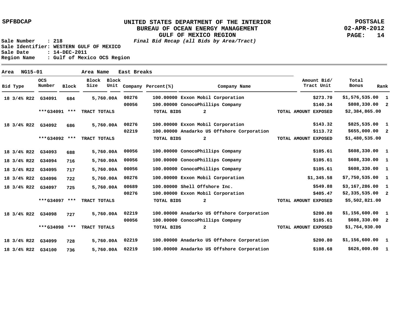**POSTSALE 02-APR-2012 PAGE: 14**

| Area |             | NG15-01 |                      |              | Area Name     |               | East Breaks |                    |                                            |                      |                           |                       |                            |
|------|-------------|---------|----------------------|--------------|---------------|---------------|-------------|--------------------|--------------------------------------------|----------------------|---------------------------|-----------------------|----------------------------|
|      | Bid Type    |         | <b>OCS</b><br>Number | <b>Block</b> | Block<br>Size | Block<br>Unit |             | Company Percent(%) | Company Name                               |                      | Amount Bid/<br>Tract Unit | Total<br><b>Bonus</b> | Rank                       |
|      | 18 3/4% R22 |         | G34091               | 684          |               | 5,760.00A     | 00276       |                    | 100.00000 Exxon Mobil Corporation          |                      | \$273.70                  | \$1,576,535.00        | $\mathbf{1}$               |
|      |             |         |                      |              |               |               | 00056       |                    | 100.00000 ConocoPhillips Company           |                      | \$140.34                  | \$808,330.00          | $\overline{\mathbf{2}}$    |
|      |             |         | ***G34091 ***        |              | TRACT TOTALS  |               |             | <b>TOTAL BIDS</b>  | $\overline{a}$                             | TOTAL AMOUNT EXPOSED |                           | \$2,384,865.00        |                            |
|      | 18 3/4% R22 |         | G34092               | 686          |               | 5,760.00A     | 00276       |                    | 100.00000 Exxon Mobil Corporation          |                      | \$143.32                  | \$825,535.00          | $\mathbf{1}$               |
|      |             |         |                      |              |               |               | 02219       |                    | 100.00000 Anadarko US Offshore Corporation |                      | \$113.72                  | \$655,000.00          | $\overline{\phantom{a}}$   |
|      |             |         | ***G34092 ***        |              | TRACT TOTALS  |               |             | TOTAL BIDS         | $\mathbf{2}$                               | TOTAL AMOUNT EXPOSED |                           | \$1,480,535.00        |                            |
|      | 18 3/4% R22 |         | G34093               | 688          |               | 5,760.00A     | 00056       |                    | 100.00000 ConocoPhillips Company           |                      | \$105.61                  | \$608,330.00          | $\mathbf{1}$               |
|      | 18 3/4% R22 |         | G34094               | 716          |               | 5,760.00A     | 00056       |                    | 100.00000 ConocoPhillips Company           |                      | \$105.61                  | \$608,330.00          | $\mathbf{1}$               |
|      | 18 3/4% R22 |         | G34095               | 717          |               | 5,760.00A     | 00056       |                    | 100.00000 ConocoPhillips Company           |                      | \$105.61                  | \$608,330.00          | $\mathbf{1}$               |
|      | 18 3/4% R22 |         | G34096               | 722          |               | 5,760.00A     | 00276       |                    | 100.00000 Exxon Mobil Corporation          |                      | \$1,345.58                | \$7,750,535.00        | $\mathbf{1}$               |
|      | 18 3/4% R22 |         | G34097               | 725          |               | 5,760.00A     | 00689       |                    | 100.00000 Shell Offshore Inc.              |                      | \$549.88                  | \$3,167,286.00        | $\mathbf{1}$               |
|      |             |         |                      |              |               |               | 00276       |                    | 100.00000 Exxon Mobil Corporation          |                      | \$405.47                  | $$2,335,535.00$ 2     |                            |
|      |             |         | ***G34097 ***        |              | TRACT TOTALS  |               |             | <b>TOTAL BIDS</b>  | $\mathbf{2}$                               | TOTAL AMOUNT EXPOSED |                           | \$5,502,821.00        |                            |
|      | 18 3/4% R22 |         | G34098               | 727          |               | 5,760.00A     | 02219       |                    | 100.00000 Anadarko US Offshore Corporation |                      | \$200.80                  | \$1,156,600.00        | $\mathbf{1}$               |
|      |             |         |                      |              |               |               | 00056       |                    | 100.00000 ConocoPhillips Company           |                      | \$105.61                  | \$608,330.00          | $\overline{\phantom{0}}^2$ |
|      |             |         | ***G34098 ***        |              | TRACT TOTALS  |               |             | TOTAL BIDS         | $\mathbf{2}$                               | TOTAL AMOUNT EXPOSED |                           | \$1,764,930.00        |                            |
|      | 18 3/4% R22 |         | G34099               | 728          |               | 5,760.00A     | 02219       |                    | 100.00000 Anadarko US Offshore Corporation |                      | \$200.80                  | \$1,156,600.00        | $\mathbf{1}$               |
|      | 18 3/4% R22 |         | G34100               | 736          |               | 5,760.00A     | 02219       |                    | 100.00000 Anadarko US Offshore Corporation |                      | \$108.68                  | \$626,000.00          | -1                         |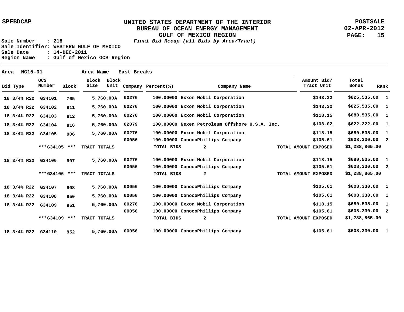**POSTSALE 02-APR-2012 PAGE: 15**

| Area |             | NG15-01 |                      |              | Area Name            |               | East Breaks |                    |                                                |                           |                 |              |
|------|-------------|---------|----------------------|--------------|----------------------|---------------|-------------|--------------------|------------------------------------------------|---------------------------|-----------------|--------------|
|      | Bid Type    |         | <b>OCS</b><br>Number | <b>Block</b> | <b>Block</b><br>Size | Block<br>Unit |             | Company Percent(%) | Company Name                                   | Amount Bid/<br>Tract Unit | Total<br>Bonus  | Rank         |
|      | 18 3/4% R22 |         | G34101               | 765          |                      | 5,760.00A     | 00276       |                    | 100.00000 Exxon Mobil Corporation              | \$143.32                  | \$825,535.00 1  |              |
|      | 18 3/4% R22 |         | G34102               | 811          |                      | 5,760.00A     | 00276       | 100.00000          | Exxon Mobil Corporation                        | \$143.32                  | \$825,535.00    | $\mathbf{1}$ |
|      | 18 3/4% R22 |         | G34103               | 812          |                      | 5,760.00A     | 00276       |                    | 100.00000 Exxon Mobil Corporation              | \$118.15                  | \$680,535.00 1  |              |
|      | 18 3/4% R22 |         | G34104               | 816          |                      | 5,760.00A     | 02079       |                    | 100.00000 Nexen Petroleum Offshore U.S.A. Inc. | \$108.02                  | \$622,222.00    | - 1          |
|      | 18 3/4% R22 |         | G34105               | 906          |                      | 5,760.00A     | 00276       |                    | 100.00000 Exxon Mobil Corporation              | \$118.15                  | \$680,535.00    | $\mathbf{1}$ |
|      |             |         |                      |              |                      |               | 00056       |                    | 100.00000 ConocoPhillips Company               | \$105.61                  | \$608,330.00 2  |              |
|      |             |         | ***G34105 ***        |              | TRACT TOTALS         |               |             | <b>TOTAL BIDS</b>  | $\mathbf{2}$                                   | TOTAL AMOUNT EXPOSED      | \$1,288,865.00  |              |
|      | 18 3/4% R22 |         | G34106               | 907          |                      | 5,760.00A     | 00276       |                    | 100.00000 Exxon Mobil Corporation              | \$118.15                  | \$680,535.00 1  |              |
|      |             |         |                      |              |                      |               | 00056       |                    | 100.00000 ConocoPhillips Company               | \$105.61                  | \$608,330.00 2  |              |
|      |             |         | ***G34106 ***        |              | TRACT TOTALS         |               |             | TOTAL BIDS         | $\mathbf{2}$                                   | TOTAL AMOUNT EXPOSED      | \$1,288,865.00  |              |
|      | 18 3/4% R22 |         | G34107               | 908          |                      | 5,760.00A     | 00056       |                    | 100.00000 ConocoPhillips Company               | \$105.61                  | \$608,330.00 1  |              |
|      | 18 3/4% R22 |         | G34108               | 950          |                      | 5,760.00A     | 00056       |                    | 100.00000 ConocoPhillips Company               | \$105.61                  | \$608,330.00 1  |              |
|      | 18 3/4% R22 |         | G34109               | 951          |                      | 5,760.00A     | 00276       |                    | 100.00000 Exxon Mobil Corporation              | \$118.15                  | \$680,535.00    | - 1          |
|      |             |         |                      |              |                      |               | 00056       |                    | 100.00000 ConocoPhillips Company               | \$105.61                  | $$608,330.00$ 2 |              |
|      |             |         | ***G34109 ***        |              | TRACT TOTALS         |               |             | TOTAL BIDS         | 2                                              | TOTAL AMOUNT EXPOSED      | \$1,288,865.00  |              |
|      | 18 3/4% R22 |         | G34110               | 952          |                      | 5,760.00A     | 00056       |                    | 100.00000 ConocoPhillips Company               | \$105.61                  | \$608,330.00    | -1           |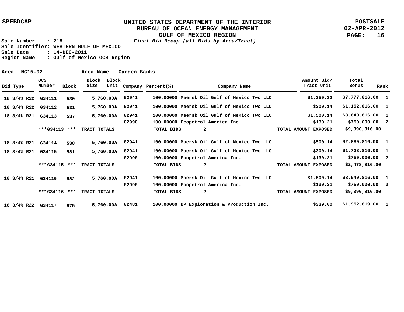**POSTSALE 02-APR-2012 PAGE: 16**

| Area | <b>NG15-02</b> |                      |              | Area Name     |               | Garden Banks |                    |                                             |                           |                        |              |
|------|----------------|----------------------|--------------|---------------|---------------|--------------|--------------------|---------------------------------------------|---------------------------|------------------------|--------------|
|      | Bid Type       | <b>OCS</b><br>Number | <b>Block</b> | Block<br>Size | Block<br>Unit |              | Company Percent(%) | Company Name                                | Amount Bid/<br>Tract Unit | Total<br>Bonus<br>Rank |              |
|      | 18 3/4% R22    | G34111               | 530          |               | 5,760.00A     | 02941        |                    | 100.00000 Maersk Oil Gulf of Mexico Two LLC | \$1,350.32                | $$7,777,816.00$ 1      |              |
|      | 18 3/4% R22    | G34112               | 531          |               | 5,760.00A     | 02941        |                    | 100.00000 Maersk Oil Gulf of Mexico Two LLC | \$200.14                  | $$1,152,816.00$ 1      |              |
|      | 18 3/4% R21    | G34113               | 537          |               | 5,760.00A     | 02941        |                    | 100.00000 Maersk Oil Gulf of Mexico Two LLC | \$1,500.14                | \$8,640,816.00         | $\mathbf{1}$ |
|      |                |                      |              |               |               | 02990        |                    | 100.00000 Ecopetrol America Inc.            | \$130.21                  | \$750,000.002          |              |
|      |                | ***G34113            | $***$        | TRACT TOTALS  |               |              | TOTAL BIDS         | $\mathbf{2}$                                | TOTAL AMOUNT EXPOSED      | \$9,390,816.00         |              |
|      | 18 3/4% R21    | G34114               | 538          |               | 5,760.00A     | 02941        |                    | 100.00000 Maersk Oil Gulf of Mexico Two LLC | \$500.14                  | $$2,880,816.00$ 1      |              |
|      | 18 3/4% R21    | G34115               | 581          |               | 5,760.00A     | 02941        |                    | 100.00000 Maersk Oil Gulf of Mexico Two LLC | \$300.14                  | $$1,728,816.00$ 1      |              |
|      |                |                      |              |               |               | 02990        |                    | 100.00000 Ecopetrol America Inc.            | \$130.21                  | \$750,000.00 2         |              |
|      |                | ***G34115 ***        |              | TRACT TOTALS  |               |              | <b>TOTAL BIDS</b>  | $\mathbf{2}$                                | TOTAL AMOUNT EXPOSED      | \$2,478,816.00         |              |
|      | 18 3/4% R21    | G34116               | 582          |               | 5,760.00A     | 02941        |                    | 100.00000 Maersk Oil Gulf of Mexico Two LLC | \$1,500.14                | $$8,640,816.00$ 1      |              |
|      |                |                      |              |               |               | 02990        |                    | 100.00000 Ecopetrol America Inc.            | \$130.21                  | \$750,000.002          |              |
|      |                | ***G34116            | ***          | TRACT TOTALS  |               |              | TOTAL BIDS         | $\overline{a}$                              | TOTAL AMOUNT EXPOSED      | \$9,390,816.00         |              |
|      | 18 3/4% R22    | G34117               | 975          |               | 5,760.00A     | 02481        |                    | 100.00000 BP Exploration & Production Inc.  | \$339.00                  | $$1,952,619.00$ 1      |              |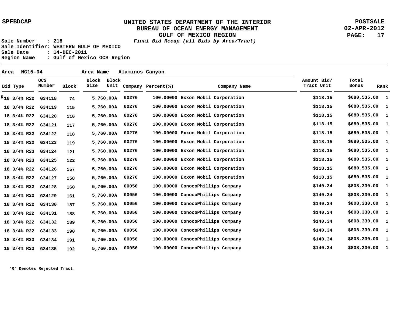**POSTSALE 02-APR-2012 PAGE: 17**

**Sale Number : 218 Final Bid Recap (all Bids by Area/Tract) Sale Identifier: WESTERN GULF OF MEXICO Sale Date : 14-DEC-2011 Region Name : Gulf of Mexico OCS Region**

 **74 115 116 117 118 119 121 122 157 158 160 161 187 188 189 190 191 192 100.00000 Exxon Mobil Corporation 100.00000 Exxon Mobil Corporation 100.00000 Exxon Mobil Corporation 100.00000 Exxon Mobil Corporation 100.00000 Exxon Mobil Corporation 100.00000 Exxon Mobil Corporation 100.00000 Exxon Mobil Corporation 100.00000 Exxon Mobil Corporation 100.00000 Exxon Mobil Corporation 100.00000 Exxon Mobil Corporation 100.00000 ConocoPhillips Company 100.00000 ConocoPhillips Company 100.00000 ConocoPhillips Company 100.00000 ConocoPhillips Company 100.00000 ConocoPhillips Company 100.00000 ConocoPhillips Company 100.00000 ConocoPhillips Company 100.00000 ConocoPhillips Company 00276 00276 00276 00276 00276 00276 00276 00276 00276 00276 00056 00056 00056 00056 00056 00056 00056 00056 \$680,535.00 \$680,535.00 \$680,535.00 \$680,535.00 \$680,535.00 \$680,535.00 \$680,535.00 \$680,535.00 \$680,535.00 \$680,535.00 \$808,330.00 \$808,330.00 \$808,330.00 \$808,330.00 \$808,330.00 \$808,330.00 \$808,330.00 \$808,330.00 1 1 1 1 1 1 1 1 1 1 1 1 1 1 1 1 1 1 \$118.15 \$118.15 \$118.15 \$118.15 \$118.15 \$118.15 \$118.15 \$118.15 \$118.15 \$118.15 \$140.34 \$140.34 \$140.34 \$140.34 \$140.34 \$140.34 \$140.34 \$140.34 G34118 18 3/4% R22 R G34119 G34120 18 3/4% R22 G34121 18 3/4% R22 G34122 18 3/4% R22 G34123 18 3/4% R22 G34124 18 3/4% R23 G34125 18 3/4% R23 G34126 18 3/4% R22 G34127 18 3/4% R22 G34128 18 3/4% R22 G34129 18 3/4% R22 G34130 18 3/4% R22 G34131 18 3/4% R22 G34132 18 3/4% R22 G34133 18 3/4% R22 G34134 18 3/4% R23 G34135 18 3/4% R23 5,760.00 A 5,760.00 A 5,760.00 A 5,760.00 A 5,760.00 A 5,760.00 A 5,760.00 A 5,760.00 A 5,760.00 A 5,760.00 A 5,760.00 A 5,760.00 A 5,760.00 A 5,760.00 A 5,760.00 A 5,760.00 A 5,760.00 A 5,760.00 A 18 3/4% R22 Bid Type OCS Number Block Block Size Block Unit Company Percent(%) Company Name Amount Bid/ Tract Unit Total Bonus Rank Area NG15-04 Area Name Alaminos Canyon**

**'R' Denotes Rejected Tract.**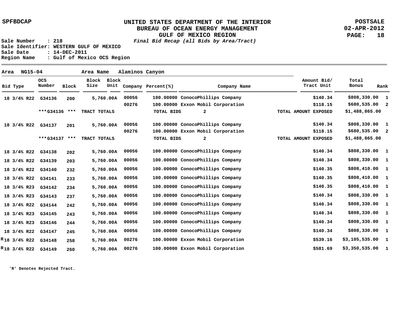**POSTSALE 02-APR-2012 PAGE: 18**

**Sale Number : 218 Final Bid Recap (all Bids by Area/Tract) Sale Identifier: WESTERN GULF OF MEXICO Sale Date : 14-DEC-2011 Region Name : Gulf of Mexico OCS Region**

| Area |                   | <b>NG15-04</b>    |               |       | Area Name     |               | Alaminos Canyon |                    |                                   |                      |                           |                 |                         |
|------|-------------------|-------------------|---------------|-------|---------------|---------------|-----------------|--------------------|-----------------------------------|----------------------|---------------------------|-----------------|-------------------------|
|      | Bid Type          |                   | OCS<br>Number | Block | Block<br>Size | Block<br>Unit |                 | Company Percent(%) | Company Name                      |                      | Amount Bid/<br>Tract Unit | Total<br>Bonus  | Rank                    |
|      |                   | 18 3/4% R22       | G34136        | 200   |               | 5,760.00A     | 00056           |                    | 100.00000 ConocoPhillips Company  |                      | \$140.34                  | \$808,330.00    | 1                       |
|      |                   |                   |               |       |               |               | 00276           |                    | 100.00000 Exxon Mobil Corporation |                      | \$118.15                  | \$680,535.00    | $\overline{\mathbf{2}}$ |
|      |                   |                   | ***G34136 *** |       | TRACT TOTALS  |               |                 | TOTAL BIDS         | $\mathbf{2}$                      | TOTAL AMOUNT EXPOSED |                           | \$1,488,865.00  |                         |
|      |                   | 18 3/4% R22       | G34137        | 201   |               | 5,760.00A     | 00056           |                    | 100.00000 ConocoPhillips Company  |                      | \$140.34                  | \$808,330.00    | 1                       |
|      |                   |                   |               |       |               |               | 00276           |                    | 100.00000 Exxon Mobil Corporation |                      | \$118.15                  | $$680,535.00$ 2 |                         |
|      |                   |                   | ***G34137 *** |       | TRACT TOTALS  |               |                 | TOTAL BIDS         | 2                                 | TOTAL AMOUNT EXPOSED |                           | \$1,488,865.00  |                         |
|      |                   | 18 3/4% R22       | G34138        | 202   |               | 5,760.00A     | 00056           |                    | 100.00000 ConocoPhillips Company  |                      | \$140.34                  | \$808,330.00    | $\mathbf{1}$            |
|      |                   | 18 3/4% R22       | G34139        | 203   |               | 5,760.00A     | 00056           |                    | 100.00000 ConocoPhillips Company  |                      | \$140.34                  | \$808,330.00    | $\mathbf{1}$            |
|      |                   | 18 3/4% R22       | G34140        | 232   |               | 5,760.00A     | 00056           |                    | 100.00000 ConocoPhillips Company  |                      | \$140.35                  | \$808,410.00    | $\mathbf{1}$            |
|      | 18 3/4% R22       |                   | G34141        | 233   |               | 5,760.00A     | 00056           |                    | 100.00000 ConocoPhillips Company  |                      | \$140.35                  | \$808,410.00    | $\mathbf{1}$            |
|      | 18 3/4% R23       |                   | G34142        | 234   |               | 5,760.00A     | 00056           |                    | 100.00000 ConocoPhillips Company  |                      | \$140.35                  | \$808,410.00    | $\mathbf{1}$            |
|      | 18 3/4% R23       |                   | G34143        | 237   |               | 5,760.00A     | 00056           |                    | 100.00000 ConocoPhillips Company  |                      | \$140.34                  | \$808,330.00    | $\mathbf{1}$            |
|      |                   | 18 3/4% R22       | G34144        | 242   |               | 5,760.00A     | 00056           |                    | 100.00000 ConocoPhillips Company  |                      | \$140.34                  | \$808,330.00    | $\mathbf{1}$            |
|      |                   | 18 3/4% R23       | G34145        | 243   |               | 5,760.00A     | 00056           |                    | 100.00000 ConocoPhillips Company  |                      | \$140.34                  | \$808,330.00    | $\mathbf{1}$            |
|      |                   | 18 3/4% R23       | G34146        | 244   |               | 5,760.00A     | 00056           |                    | 100.00000 ConocoPhillips Company  |                      | \$140.34                  | \$808,330.00    | $\mathbf{1}$            |
|      |                   | 18 3/4% R22       | G34147        | 245   |               | 5,760.00A     | 00056           |                    | 100.00000 ConocoPhillips Company  |                      | \$140.34                  | \$808,330.00    | $\mathbf{1}$            |
|      | $R_{18}$ 3/4% R22 |                   | G34148        | 258   |               | 5,760.00A     | 00276           |                    | 100.00000 Exxon Mobil Corporation |                      | \$539.16                  | \$3,105,535.00  | $\mathbf{1}$            |
|      |                   | $R_{18}$ 3/4% R22 | G34149        | 260   |               | 5,760.00A     | 00276           |                    | 100.00000 Exxon Mobil Corporation |                      | \$581.69                  | \$3,350,535.00  | -1                      |

**'R' Denotes Rejected Tract.**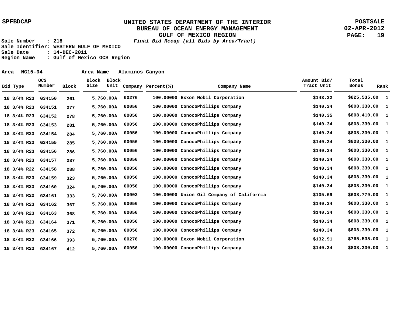**POSTSALE 02-APR-2012 PAGE: 19**

**Sale Number : 218 Final Bid Recap (all Bids by Area/Tract) Sale Identifier: WESTERN GULF OF MEXICO Sale Date : 14-DEC-2011 Region Name : Gulf of Mexico OCS Region**

 **261 277 278 281 284 285 286 287 288 323 324 333 367 368 371 372 393 412 100.00000 Exxon Mobil Corporation 100.00000 ConocoPhillips Company 100.00000 ConocoPhillips Company 100.00000 ConocoPhillips Company 100.00000 ConocoPhillips Company 100.00000 ConocoPhillips Company 100.00000 ConocoPhillips Company 100.00000 ConocoPhillips Company 100.00000 ConocoPhillips Company 100.00000 ConocoPhillips Company 100.00000 ConocoPhillips Company 100.00000 Union Oil Company of California 100.00000 ConocoPhillips Company 100.00000 ConocoPhillips Company 100.00000 ConocoPhillips Company 100.00000 ConocoPhillips Company 100.00000 Exxon Mobil Corporation 100.00000 ConocoPhillips Company 00276 00056 00056 00056 00056 00056 00056 00056 00056 00056 00056 00003 00056 00056 00056 00056 00276 00056 \$825,535.00 1 \$808,330.00 \$808,410.00 \$808,330.00 \$808,330.00 \$808,330.00 \$808,330.00 \$808,330.00 \$808,330.00 \$808,330.00 \$808,330.00 \$608,779.00 \$808,330.00 \$808,330.00 \$808,330.00 \$808,330.00 \$765,535.00 \$808,330.00 1 1 1 1 1 1 1 1 1 1 1 1 1 1 1 1 1 \$143.32 \$140.34 \$140.35 \$140.34 \$140.34 \$140.34 \$140.34 \$140.34 \$140.34 \$140.34 \$140.34 \$105.69 \$140.34 \$140.34 \$140.34 \$140.34 \$132.91 \$140.34 G34150 18 3/4% R23 G34151 G34152 18 3/4% R23 G34153 18 3/4% R23 G34154 18 3/4% R23 G34155 18 3/4% R23 G34156 18 3/4% R23 G34157 18 3/4% R23 G34158 18 3/4% R22 G34159 18 3/4% R23 G34160 18 3/4% R23 G34161 18 3/4% R22 G34162 18 3/4% R23 G34163 18 3/4% R23 G34164 18 3/4% R23 G34165 18 3/4% R23 G34166 18 3/4% R22 G34167 18 3/4% R23 5,760.00 A 5,760.00 A 5,760.00 A 5,760.00 A 5,760.00 A 5,760.00 A 5,760.00 A 5,760.00 A 5,760.00 A 5,760.00 A 5,760.00 A 5,760.00 A 5,760.00 A 5,760.00 A 5,760.00 A 5,760.00 A 5,760.00 A 5,760.00 A 18 3/4% R23 Bid Type OCS Number Block Block Block Size Unit Company Percent(%) Company Name Amount Bid/ Tract Unit Total Bonus Rank Area NG15-04 Area Name Alaminos Canyon**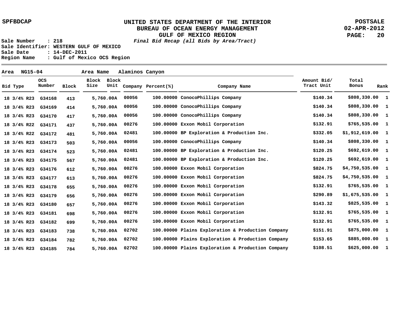**POSTSALE 02-APR-2012 PAGE: 20**

**Sale Number : 218 Final Bid Recap (all Bids by Area/Tract) Sale Identifier: WESTERN GULF OF MEXICO Sale Date : 14-DEC-2011 Region Name : Gulf of Mexico OCS Region**

 **413 414 417 437 481 503 523 567 612 613 655 656 657 698 699 738 782 784 100.00000 ConocoPhillips Company 100.00000 ConocoPhillips Company 100.00000 ConocoPhillips Company 100.00000 Exxon Mobil Corporation 100.00000 BP Exploration & Production Inc. 100.00000 ConocoPhillips Company 100.00000 BP Exploration & Production Inc. 100.00000 BP Exploration & Production Inc. 100.00000 Exxon Mobil Corporation 100.00000 Exxon Mobil Corporation 100.00000 Exxon Mobil Corporation 100.00000 Exxon Mobil Corporation 100.00000 Exxon Mobil Corporation 100.00000 Exxon Mobil Corporation 100.00000 Exxon Mobil Corporation 100.00000 Plains Exploration & Production Company 100.00000 Plains Exploration & Production Company 100.00000 Plains Exploration & Production Company 00056 00056 00056 00276 02481 00056 02481 02481 00276 00276 00276 00276 00276 00276 00276 02702 02702 02702 5,760.00 A \$808,330.00 1 \$808,330.00 \$808,330.00 \$765,535.00 \$1,912,619.00 \$808,330.00 \$692,619.00 \$692,619.00 \$4,750,535.00 \$4,750,535.00 \$765,535.00 \$1,675,535.00 \$825,535.00 \$765,535.00 \$765,535.00 \$875,000.00 \$885,000.00 \$625,000.00 1 1 1 1 1 1 1 1 1 1 1 1 1 1 1 1 1 \$140.34 \$140.34 \$140.34 \$132.91 \$332.05 \$140.34 \$120.25 \$120.25 \$824.75 \$824.75 \$132.91 \$290.89 \$143.32 \$132.91 \$132.91 \$151.91 \$153.65 \$108.51 G34168 18 3/4% R23 G34169 G34170 18 3/4% R23 G34171 18 3/4% R22 G34172 18 3/4% R22 G34173 18 3/4% R23 G34174 18 3/4% R23 G34175 18 3/4% R23 G34176 18 3/4% R23 G34177 18 3/4% R23 G34178 18 3/4% R23 G34179 18 3/4% R23 G34180 18 3/4% R23 G34181 18 3/4% R23 G34182 18 3/4% R23 G34183 18 3/4% R23 G34184 18 3/4% R23 G34185 18 3/4% R23 5,760.00 A 5,760.00 A 5,760.00 A 5,760.00 A 5,760.00 A 5,760.00 A 5,760.00 A 5,760.00 A 5,760.00 A 5,760.00 A 5,760.00 A 5,760.00 A 5,760.00 A 5,760.00 A 5,760.00 A 5,760.00 A 5,760.00 A 18 3/4% R23 Bid Type OCS Number Block Block Block Size Unit Company Percent(%) Company Name Amount Bid/ Tract Unit Total Bonus Rank Area NG15-04 Area Name Alaminos Canyon**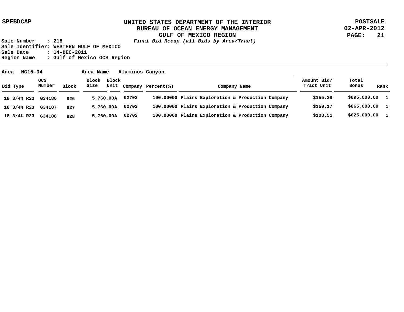**POSTSALE 02-APR-2012 PAGE: 21**

| NG15-04<br>Area        |                      |       | Area Name           |           | Alaminos Canyon |                         |                                                   |                           |                |              |
|------------------------|----------------------|-------|---------------------|-----------|-----------------|-------------------------|---------------------------------------------------|---------------------------|----------------|--------------|
| Bid Type               | <b>OCS</b><br>Number | Block | Block Block<br>Size |           |                 | Unit Company Percent(%) | Company Name                                      | Amount Bid/<br>Tract Unit | Total<br>Bonus | Rank         |
| 18 3/4% R23            | G34186               | 826   |                     | 5,760.00A | 02702           |                         | 100.00000 Plains Exploration & Production Company | \$155.38                  | \$895,000.00 1 |              |
| 18 3/4% R23            | G34187               | 827   |                     | 5,760.00A | 02702           |                         | 100.00000 Plains Exploration & Production Company | \$150.17                  | \$865,000.00 1 |              |
| $18 \frac{3}{4\%}$ R23 | G34188               | 828   |                     | 5,760.00A | 02702           |                         | 100.00000 Plains Exploration & Production Company | \$108.51                  | \$625,000.00   | $\mathbf{1}$ |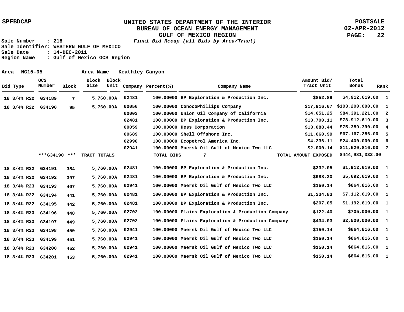**POSTSALE 02-APR-2012 PAGE: 22**

**Sale Number : 218 Final Bid Recap (all Bids by Area/Tract) Sale Identifier: WESTERN GULF OF MEXICO Sale Date : 14-DEC-2011 Region Name : Gulf of Mexico OCS Region**

 **7 95 354 397 407 441 442 448 449 450 451 452 453 100.00000 BP Exploration & Production Inc. 100.00000 ConocoPhillips Company 100.00000 Union Oil Company of California 100.00000 BP Exploration & Production Inc. 100.00000 Hess Corporation 100.00000 Shell Offshore Inc. 100.00000 Ecopetrol America Inc. 100.00000 Maersk Oil Gulf of Mexico Two LLC 100.00000 BP Exploration & Production Inc. 100.00000 BP Exploration & Production Inc. 100.00000 Maersk Oil Gulf of Mexico Two LLC 100.00000 BP Exploration & Production Inc. 100.00000 BP Exploration & Production Inc. 100.00000 Plains Exploration & Production Company 100.00000 Plains Exploration & Production Company 100.00000 Maersk Oil Gulf of Mexico Two LLC 100.00000 Maersk Oil Gulf of Mexico Two LLC 100.00000 Maersk Oil Gulf of Mexico Two LLC 100.00000 Maersk Oil Gulf of Mexico Two LLC 02481 00056 00003 02481 00059 00689 02990 02941 02481 02481 02941 02481 02481 02702 02702 02941 02941 02941 5,760.00 A 02941 5,760.00 A \$4,912,619.00 \$103,200,000.00 \$84,391,221.00 \$78,912,619.00 \$75,389,390.00 \$67,167,286.00 \$24,400,000.00 \$11,520,816.00 7 \$1,912,619.00 \$5,692,619.00 \$864,816.00 \$7,112,619.00 \$1,192,619.00 \$705,000.00 \$2,500,000.00 \$864,816.00 \$864,816.00 \$864,816.00 \$864,816.00 1 1 1 2 3 4 5 6 1 1 1 1 1 1 1 1 1 1 \$852.89 \$17,916.67 \$14,651.25 \$13,700.11 \$13,088.44 \$11,660.99 \$4,236.11 \$2,000.14 \$332.05 \$988.30 \$150.14 \$1,234.83 \$207.05 \$122.40 \$434.03 \$150.14 \$150.14 \$150.14 \$150.14 G34189 18 3/4% R22 G34190 18 3/4% R22 G34191 18 3/4% R22 G34192 18 3/4% R22 G34193 18 3/4% R23 G34194 18 3/4% R22 G34195 18 3/4% R22 G34196 18 3/4% R23 G34197 18 3/4% R23 G34198 18 3/4% R23 G34199 18 3/4% R23 G34200 18 3/4% R23 G34201 18 3/4% R23 5,760.00 A 5,760.00 A 5,760.00 A 5,760.00 A 5,760.00 A 5,760.00 A 5,760.00 A 5,760.00 A 5,760.00 A 5,760.00 A 5,760.00 A \*\*\*G34190 \*\*\* TRACT TOTALS TOTAL BIDS 7 TOTAL AMOUNT EXPOSED \$444,981,332.00 Bid Type OCS Number Block Block Block Size Unit Company Percent(%) Company Name Amount Bid/ Tract Unit Total Bonus Rank Area NG15-05 Area Name Keathley Canyon**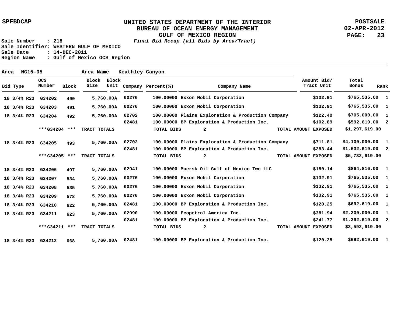**POSTSALE 02-APR-2012 PAGE: 23**

| Area |                        | <b>NG15-05</b> |                      |       | Area Name     |               | Keathley Canyon |                    |                                                   |                           |                   |      |
|------|------------------------|----------------|----------------------|-------|---------------|---------------|-----------------|--------------------|---------------------------------------------------|---------------------------|-------------------|------|
|      | Bid Type               |                | <b>OCS</b><br>Number | Block | Block<br>Size | Block<br>Unit |                 | Company Percent(%) | Company Name                                      | Amount Bid/<br>Tract Unit | Total<br>Bonus    | Rank |
|      | 18 3/4% R23            |                | G34202               | 490   |               | 5,760.00A     | 00276           |                    | 100.00000 Exxon Mobil Corporation                 | \$132.91                  | $$765,535.00$ 1   |      |
|      | 18 3/4% R23            |                | G34203               | 491   |               | 5,760.00A     | 00276           |                    | 100.00000 Exxon Mobil Corporation                 | \$132.91                  | $$765,535.00$ 1   |      |
|      | $18 \frac{3}{4\%}$ R23 |                | G34204               | 492   |               | 5,760.00A     | 02702           |                    | 100.00000 Plains Exploration & Production Company | \$122.40                  | \$705,000.00 1    |      |
|      |                        |                |                      |       |               |               | 02481           |                    | 100.00000 BP Exploration & Production Inc.        | \$102.89                  | $$592,619.00$ 2   |      |
|      |                        |                | ***G34204 ***        |       | TRACT TOTALS  |               |                 | <b>TOTAL BIDS</b>  | $\mathbf{2}$                                      | TOTAL AMOUNT EXPOSED      | \$1,297,619.00    |      |
|      | 18 3/4% R23            |                | G34205               | 493   |               | 5,760.00A     | 02702           |                    | 100.00000 Plains Exploration & Production Company | \$711.81                  | \$4,100,000.001   |      |
|      |                        |                |                      |       |               |               | 02481           |                    | 100.00000 BP Exploration & Production Inc.        | \$283.44                  | $$1,632,619.00$ 2 |      |
|      |                        |                | ***G34205 ***        |       | TRACT TOTALS  |               |                 | TOTAL BIDS         | $\mathbf{2}$                                      | TOTAL AMOUNT EXPOSED      | \$5,732,619.00    |      |
|      | 18 3/4% R23            |                | G34206               | 497   |               | 5,760.00A     | 02941           |                    | 100.00000 Maersk Oil Gulf of Mexico Two LLC       | \$150.14                  | $$864,816.00$ 1   |      |
|      | $18 \frac{3}{4\%}$ R23 |                | G34207               | 534   |               | 5,760.00A     | 00276           |                    | 100.00000 Exxon Mobil Corporation                 | \$132.91                  | $$765,535.00$ 1   |      |
|      | $18 \frac{3}{4\%}$ R23 |                | G34208               | 535   |               | 5,760.00A     | 00276           |                    | 100.00000 Exxon Mobil Corporation                 | \$132.91                  | $$765,535.00$ 1   |      |
|      | 18 3/4% R23            |                | G34209               | 578   |               | 5,760.00A     | 00276           |                    | 100.00000 Exxon Mobil Corporation                 | \$132.91                  | $$765,535.00$ 1   |      |
|      | 18 3/4% R23            |                | G34210               | 622   |               | 5,760.00A     | 02481           |                    | 100.00000 BP Exploration & Production Inc.        | \$120.25                  | $$692,619.00$ 1   |      |
|      | $18 \frac{3}{4\%}$ R23 |                | G34211               | 623   |               | 5,760.00A     | 02990           |                    | 100.00000 Ecopetrol America Inc.                  | \$381.94                  | \$2,200,000.001   |      |
|      |                        |                |                      |       |               |               | 02481           |                    | 100.00000 BP Exploration & Production Inc.        | \$241.77                  | $$1,392,619.00$ 2 |      |
|      |                        |                | ***G34211 ***        |       | TRACT TOTALS  |               |                 | TOTAL BIDS         | $\overline{a}$                                    | TOTAL AMOUNT EXPOSED      | \$3,592,619.00    |      |
|      | 18 3/4% R23            |                | G34212               | 668   |               | 5,760.00A     | 02481           |                    | 100.00000 BP Exploration & Production Inc.        | \$120.25                  | \$692,619.00 1    |      |